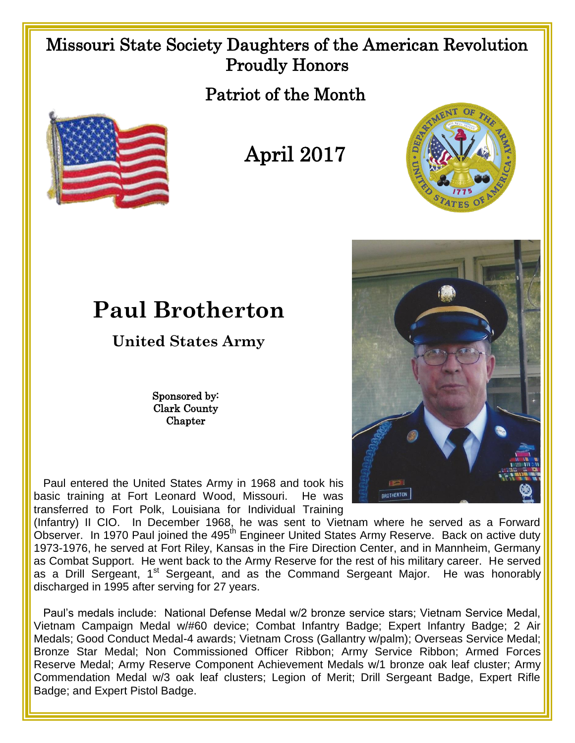## Missouri State Society Daughters of the American Revolution Proudly Honors

Patriot of the Month









## **Paul Brotherton**

## **United States Army**

Sponsored by: Clark County **Chapter** 

 Paul entered the United States Army in 1968 and took his basic training at Fort Leonard Wood, Missouri. He was transferred to Fort Polk, Louisiana for Individual Training

(Infantry) II CIO. In December 1968, he was sent to Vietnam where he served as a Forward Observer. In 1970 Paul joined the 495<sup>th</sup> Engineer United States Army Reserve. Back on active duty 1973-1976, he served at Fort Riley, Kansas in the Fire Direction Center, and in Mannheim, Germany as Combat Support. He went back to the Army Reserve for the rest of his military career. He served as a Drill Sergeant, 1<sup>st</sup> Sergeant, and as the Command Sergeant Major. He was honorably discharged in 1995 after serving for 27 years.

 Paul's medals include: National Defense Medal w/2 bronze service stars; Vietnam Service Medal, Vietnam Campaign Medal w/#60 device; Combat Infantry Badge; Expert Infantry Badge; 2 Air Medals; Good Conduct Medal-4 awards; Vietnam Cross (Gallantry w/palm); Overseas Service Medal; Bronze Star Medal; Non Commissioned Officer Ribbon; Army Service Ribbon; Armed Forces Reserve Medal; Army Reserve Component Achievement Medals w/1 bronze oak leaf cluster; Army Commendation Medal w/3 oak leaf clusters; Legion of Merit; Drill Sergeant Badge, Expert Rifle Badge; and Expert Pistol Badge.